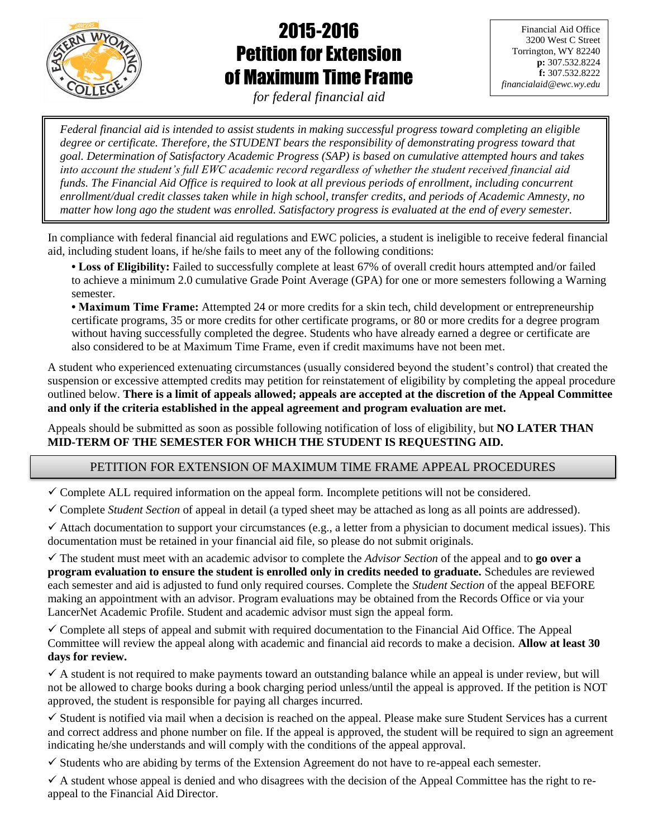

# 2015-2016 Petition for Extension of Maximum Time Frame

Financial Aid Office 3200 West C Street Torrington, WY 82240 **p:** 307.532.8224 **f:** 307.532.8222 *financialaid@ewc.wy.edu*

*for federal financial aid*

ׇ֖֚֞֘֝֬  $\overline{\phantom{a}}$  $\overline{\mathbf{r}}$ ֡֝ .<br>. 7 l *Federal financial aid is intended to assist students in making successful progress toward completing an eligible degree or certificate. Therefore, the STUDENT bears the responsibility of demonstrating progress toward that goal. Determination of Satisfactory Academic Progress (SAP) is based on cumulative attempted hours and takes into account the student's full EWC academic record regardless of whether the student received financial aid funds. The Financial Aid Office is required to look at all previous periods of enrollment, including concurrent enrollment/dual credit classes taken while in high school, transfer credits, and periods of Academic Amnesty, no matter how long ago the student was enrolled. Satisfactory progress is evaluated at the end of every semester.*

In compliance with federal financial aid regulations and EWC policies, a student is ineligible to receive federal financial aid, including student loans, if he/she fails to meet any of the following conditions:

ֺ֖֚֝֬

**• Loss of Eligibility:** Failed to successfully complete at least 67% of overall credit hours attempted and/or failed to achieve a minimum 2.0 cumulative Grade Point Average (GPA) for one or more semesters following a Warning semester.

**• Maximum Time Frame:** Attempted 24 or more credits for a skin tech, child development or entrepreneurship certificate programs, 35 or more credits for other certificate programs, or 80 or more credits for a degree program without having successfully completed the degree. Students who have already earned a degree or certificate are also considered to be at Maximum Time Frame, even if credit maximums have not been met.

A student who experienced extenuating circumstances (usually considered beyond the student's control) that created the suspension or excessive attempted credits may petition for reinstatement of eligibility by completing the appeal procedure outlined below. **There is a limit of appeals allowed; appeals are accepted at the discretion of the Appeal Committee and only if the criteria established in the appeal agreement and program evaluation are met.**

Appeals should be submitted as soon as possible following notification of loss of eligibility, but **NO LATER THAN MID-TERM OF THE SEMESTER FOR WHICH THE STUDENT IS REQUESTING AID.**

## PETITION FOR EXTENSION OF MAXIMUM TIME FRAME APPEAL PROCEDURES

 $\checkmark$  Complete ALL required information on the appeal form. Incomplete petitions will not be considered.

Complete *Student Section* of appeal in detail (a typed sheet may be attached as long as all points are addressed).

 $\checkmark$  Attach documentation to support your circumstances (e.g., a letter from a physician to document medical issues). This documentation must be retained in your financial aid file, so please do not submit originals.

 The student must meet with an academic advisor to complete the *Advisor Section* of the appeal and to **go over a program evaluation to ensure the student is enrolled only in credits needed to graduate.** Schedules are reviewed each semester and aid is adjusted to fund only required courses. Complete the *Student Section* of the appeal BEFORE making an appointment with an advisor. Program evaluations may be obtained from the Records Office or via your LancerNet Academic Profile. Student and academic advisor must sign the appeal form.

 $\checkmark$  Complete all steps of appeal and submit with required documentation to the Financial Aid Office. The Appeal Committee will review the appeal along with academic and financial aid records to make a decision. **Allow at least 30 days for review.** 

 $\checkmark$  A student is not required to make payments toward an outstanding balance while an appeal is under review, but will not be allowed to charge books during a book charging period unless/until the appeal is approved. If the petition is NOT approved, the student is responsible for paying all charges incurred.

 $\checkmark$  Student is notified via mail when a decision is reached on the appeal. Please make sure Student Services has a current and correct address and phone number on file. If the appeal is approved, the student will be required to sign an agreement indicating he/she understands and will comply with the conditions of the appeal approval.

 $\checkmark$  Students who are abiding by terms of the Extension Agreement do not have to re-appeal each semester.

 $\checkmark$  A student whose appeal is denied and who disagrees with the decision of the Appeal Committee has the right to reappeal to the Financial Aid Director.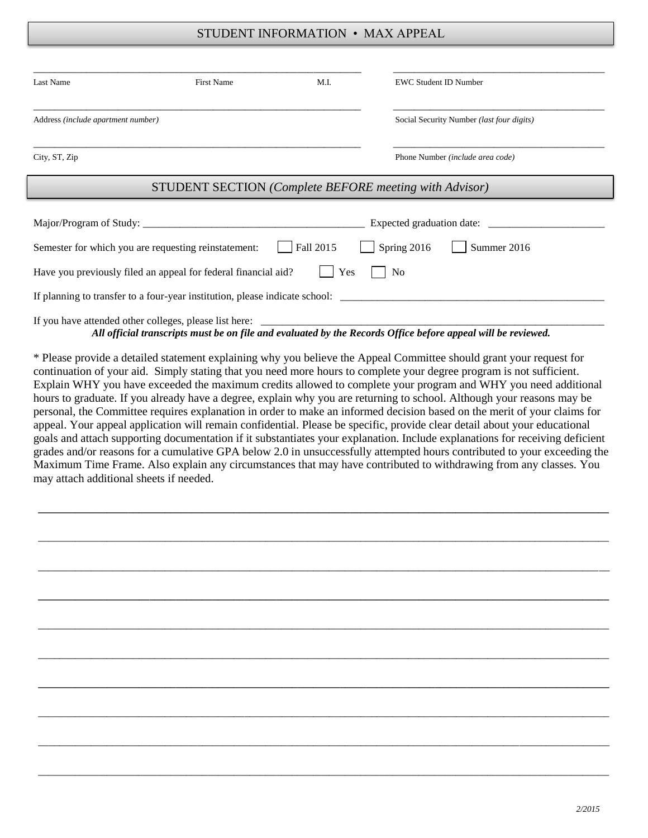## STUDENT INFORMATION • MAX APPEAL

| Last Name                           | First Name                                                     | M.I.      | <b>EWC Student ID Number</b>                                  |  |
|-------------------------------------|----------------------------------------------------------------|-----------|---------------------------------------------------------------|--|
| Address (include apartment number)  |                                                                |           | Social Security Number (last four digits)                     |  |
| City, ST, Zip                       |                                                                |           | Phone Number (include area code)                              |  |
|                                     |                                                                |           | <b>STUDENT SECTION</b> (Complete BEFORE meeting with Advisor) |  |
| Expected graduation date: _________ |                                                                |           |                                                               |  |
|                                     | Semester for which you are requesting reinstatement:           | Fall 2015 | Summer 2016<br>Spring 2016                                    |  |
|                                     | Have you previously filed an appeal for federal financial aid? | Yes       | N <sub>0</sub>                                                |  |
|                                     |                                                                |           |                                                               |  |
|                                     | If you have attended other colleges, please list here:         |           |                                                               |  |

*All official transcripts must be on file and evaluated by the Records Office before appeal will be reviewed.*

\* Please provide a detailed statement explaining why you believe the Appeal Committee should grant your request for continuation of your aid. Simply stating that you need more hours to complete your degree program is not sufficient. Explain WHY you have exceeded the maximum credits allowed to complete your program and WHY you need additional hours to graduate. If you already have a degree, explain why you are returning to school. Although your reasons may be personal, the Committee requires explanation in order to make an informed decision based on the merit of your claims for appeal. Your appeal application will remain confidential. Please be specific, provide clear detail about your educational goals and attach supporting documentation if it substantiates your explanation. Include explanations for receiving deficient grades and/or reasons for a cumulative GPA below 2.0 in unsuccessfully attempted hours contributed to your exceeding the Maximum Time Frame. Also explain any circumstances that may have contributed to withdrawing from any classes. You may attach additional sheets if needed.

**\_\_\_\_\_\_\_\_\_\_\_\_\_\_\_\_\_\_\_\_\_\_\_\_\_\_\_\_\_\_\_\_\_\_\_\_\_\_\_\_\_\_\_\_\_\_\_\_\_\_\_\_\_\_\_\_\_\_\_\_\_\_\_\_\_\_\_\_\_\_\_\_\_\_\_\_\_\_\_\_\_\_\_\_\_\_\_\_\_\_\_\_\_\_\_\_\_\_\_\_\_\_\_\_\_\_\_\_**

\_\_\_\_\_\_\_\_\_\_\_\_\_\_\_\_\_\_\_\_\_\_\_\_\_\_\_\_\_\_\_\_\_\_\_\_\_\_\_\_\_\_\_\_\_\_\_\_\_\_\_\_\_\_\_\_\_\_\_\_\_\_\_\_\_\_\_\_\_\_\_\_\_\_\_\_\_\_\_\_\_\_\_\_\_\_\_\_\_\_\_\_\_\_\_\_\_\_\_\_\_\_\_\_\_\_\_\_

\_\_\_\_\_\_\_\_\_\_\_\_\_\_\_\_\_\_\_\_\_\_\_\_\_\_\_\_\_\_\_\_\_\_\_\_\_\_\_\_\_\_\_\_\_\_\_\_\_\_\_\_\_\_\_\_\_\_\_\_\_\_\_\_\_\_\_\_\_\_\_\_\_\_\_\_\_\_\_\_\_\_\_\_\_\_\_\_\_\_\_\_\_\_\_\_\_\_\_\_\_\_\_\_\_\_\_\_

**\_\_\_\_\_\_\_\_\_\_\_\_\_\_\_\_\_\_\_\_\_\_\_\_\_\_\_\_\_\_\_\_\_\_\_\_\_\_\_\_\_\_\_\_\_\_\_\_\_\_\_\_\_\_\_\_\_\_\_\_\_\_\_\_\_\_\_\_\_\_\_\_\_\_\_\_\_\_\_\_\_\_\_\_\_\_\_\_\_\_\_\_\_\_\_\_\_\_\_\_\_\_\_\_\_\_\_\_**

\_\_\_\_\_\_\_\_\_\_\_\_\_\_\_\_\_\_\_\_\_\_\_\_\_\_\_\_\_\_\_\_\_\_\_\_\_\_\_\_\_\_\_\_\_\_\_\_\_\_\_\_\_\_\_\_\_\_\_\_\_\_\_\_\_\_\_\_\_\_\_\_\_\_\_\_\_\_\_\_\_\_\_\_\_\_\_\_\_\_\_\_\_\_\_\_\_\_\_\_\_\_\_\_\_\_\_\_

\_\_\_\_\_\_\_\_\_\_\_\_\_\_\_\_\_\_\_\_\_\_\_\_\_\_\_\_\_\_\_\_\_\_\_\_\_\_\_\_\_\_\_\_\_\_\_\_\_\_\_\_\_\_\_\_\_\_\_\_\_\_\_\_\_\_\_\_\_\_\_\_\_\_\_\_\_\_\_\_\_\_\_\_\_\_\_\_\_\_\_\_\_\_\_\_\_\_\_\_\_\_\_\_\_\_\_\_

**\_\_\_\_\_\_\_\_\_\_\_\_\_\_\_\_\_\_\_\_\_\_\_\_\_\_\_\_\_\_\_\_\_\_\_\_\_\_\_\_\_\_\_\_\_\_\_\_\_\_\_\_\_\_\_\_\_\_\_\_\_\_\_\_\_\_\_\_\_\_\_\_\_\_\_\_\_\_\_\_\_\_\_\_\_\_\_\_\_\_\_\_\_\_\_\_\_\_\_\_\_\_\_\_\_\_\_\_**

\_\_\_\_\_\_\_\_\_\_\_\_\_\_\_\_\_\_\_\_\_\_\_\_\_\_\_\_\_\_\_\_\_\_\_\_\_\_\_\_\_\_\_\_\_\_\_\_\_\_\_\_\_\_\_\_\_\_\_\_\_\_\_\_\_\_\_\_\_\_\_\_\_\_\_\_\_\_\_\_\_\_\_\_\_\_\_\_\_\_\_\_\_\_\_\_\_\_\_\_\_\_\_\_\_\_\_\_

\_\_\_\_\_\_\_\_\_\_\_\_\_\_\_\_\_\_\_\_\_\_\_\_\_\_\_\_\_\_\_\_\_\_\_\_\_\_\_\_\_\_\_\_\_\_\_\_\_\_\_\_\_\_\_\_\_\_\_\_\_\_\_\_\_\_\_\_\_\_\_\_\_\_\_\_\_\_\_\_\_\_\_\_\_\_\_\_\_\_\_\_\_\_\_\_\_\_\_\_\_\_\_\_\_\_\_\_

\_\_\_\_\_\_\_\_\_\_\_\_\_\_\_\_\_\_\_\_\_\_\_\_\_\_\_\_\_\_\_\_\_\_\_\_\_\_\_\_\_\_\_\_\_\_\_\_\_\_\_\_\_\_\_\_\_\_\_\_\_\_\_\_\_\_\_\_\_\_\_\_\_\_\_\_\_\_\_\_\_\_\_\_\_\_\_\_\_\_\_\_\_\_\_\_\_\_\_\_\_\_\_\_\_\_\_\_